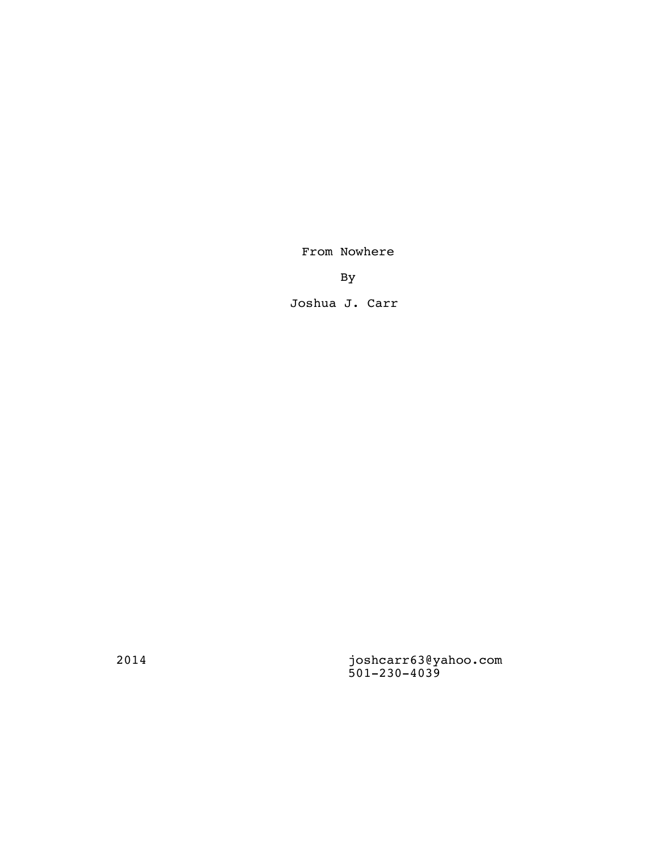From Nowhere

By

Joshua J. Carr

2014 joshcarr63@yahoo.com 501-230-4039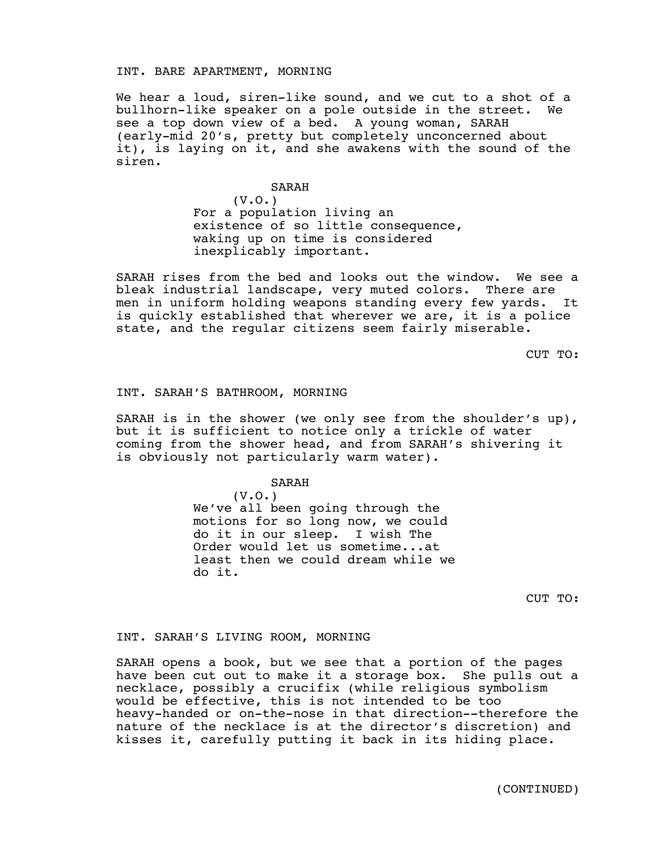## INT. BARE APARTMENT, MORNING

We hear a loud, siren-like sound, and we cut to a shot of a bullhorn-like speaker on a pole outside in the street. We see a top down view of a bed. A young woman, SARAH (early-mid 20's, pretty but completely unconcerned about it), is laying on it, and she awakens with the sound of the siren.

SARAH

 $(V.0.)$ 

For a population living an existence of so little consequence, waking up on time is considered inexplicably important.

SARAH rises from the bed and looks out the window. We see a bleak industrial landscape, very muted colors. There are men in uniform holding weapons standing every few yards. It is quickly established that wherever we are, it is a police state, and the regular citizens seem fairly miserable.

CUT TO:

## INT. SARAH'S BATHROOM, MORNING

SARAH is in the shower (we only see from the shoulder's up), but it is sufficient to notice only a trickle of water coming from the shower head, and from SARAH's shivering it is obviously not particularly warm water).

### SARAH

(V.O.) We've all been going through the motions for so long now, we could do it in our sleep. I wish The Order would let us sometime...at least then we could dream while we do it.

CUT TO:

## INT. SARAH'S LIVING ROOM, MORNING

SARAH opens a book, but we see that a portion of the pages have been cut out to make it a storage box. She pulls out a necklace, possibly a crucifix (while religious symbolism would be effective, this is not intended to be too heavy-handed or on-the-nose in that direction--therefore the nature of the necklace is at the director's discretion) and kisses it, carefully putting it back in its hiding place.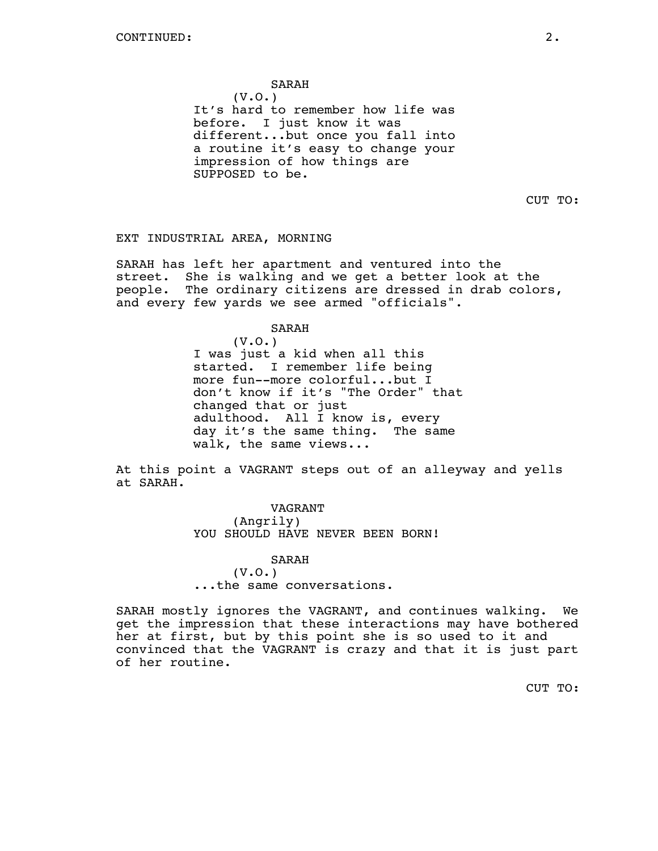# SARAH

(V.O.) It's hard to remember how life was before. I just know it was different...but once you fall into a routine it's easy to change your impression of how things are SUPPOSED to be.

CUT TO:

# EXT INDUSTRIAL AREA, MORNING

SARAH has left her apartment and ventured into the street. She is walking and we get a better look at the people. The ordinary citizens are dressed in drab colors, and every few yards we see armed "officials".

### SARAH

(V.O.) I was just a kid when all this started. I remember life being more fun--more colorful...but I don't know if it's "The Order" that changed that or just adulthood. All I know is, every day it's the same thing. The same walk, the same views...

At this point a VAGRANT steps out of an alleyway and yells at SARAH.

> VAGRANT (Angrily) YOU SHOULD HAVE NEVER BEEN BORN!

SARAH (V.O.) ...the same conversations.

SARAH mostly ignores the VAGRANT, and continues walking. We get the impression that these interactions may have bothered her at first, but by this point she is so used to it and convinced that the VAGRANT is crazy and that it is just part of her routine.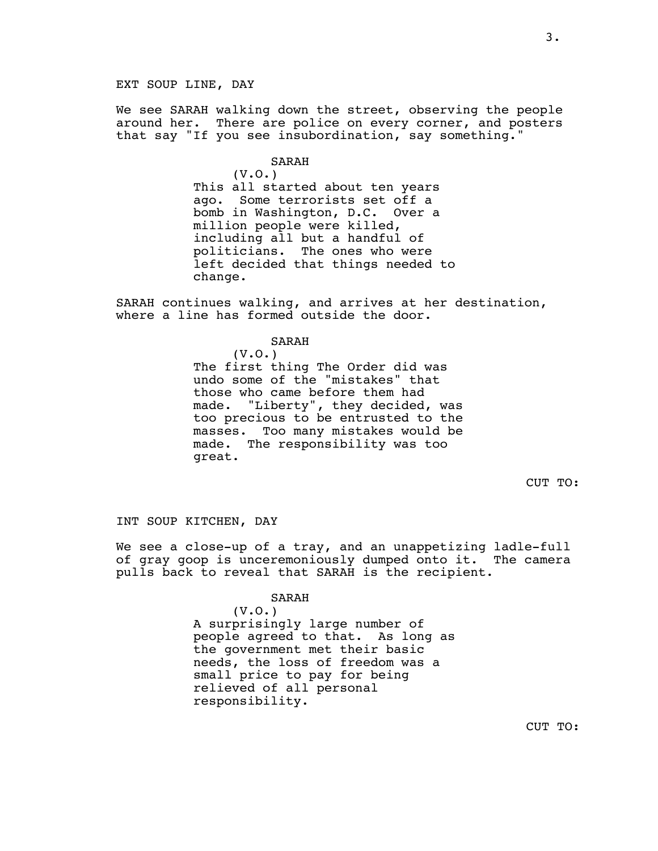We see SARAH walking down the street, observing the people around her. There are police on every corner, and posters that say "If you see insubordination, say something."

### SARAH

(V.O.) This all started about ten years ago. Some terrorists set off a bomb in Washington, D.C. Over a million people were killed, including all but a handful of politicians. The ones who were left decided that things needed to change.

SARAH continues walking, and arrives at her destination, where a line has formed outside the door.

# SARAH

 $(V.0.)$ The first thing The Order did was undo some of the "mistakes" that those who came before them had made. "Liberty", they decided, was too precious to be entrusted to the masses. Too many mistakes would be made. The responsibility was too great.

CUT TO:

INT SOUP KITCHEN, DAY

We see a close-up of a tray, and an unappetizing ladle-full<br>of gray goop is unceremoniously dumped onto it. The camera of gray goop is unceremoniously dumped onto it. pulls back to reveal that SARAH is the recipient.

#### SARAH

(V.O.) A surprisingly large number of people agreed to that. As long as the government met their basic needs, the loss of freedom was a small price to pay for being relieved of all personal responsibility.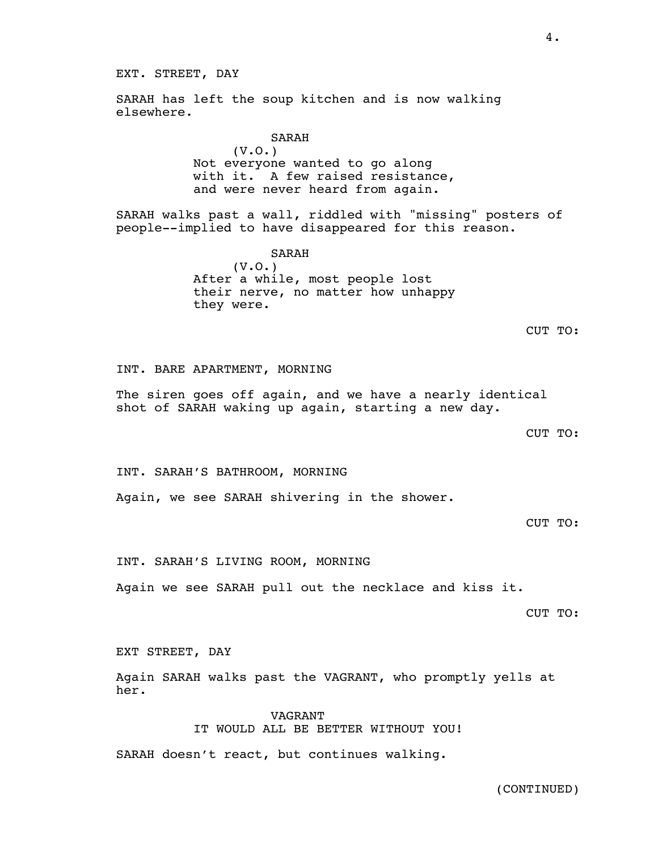EXT. STREET, DAY

SARAH has left the soup kitchen and is now walking elsewhere.

> SARAH  $(V.0.)$ Not everyone wanted to go along with it. A few raised resistance, and were never heard from again.

SARAH walks past a wall, riddled with "missing" posters of people--implied to have disappeared for this reason.

> SARAH (V.O.) After a while, most people lost their nerve, no matter how unhappy they were.

INT. BARE APARTMENT, MORNING

The siren goes off again, and we have a nearly identical shot of SARAH waking up again, starting a new day.

CUT TO:

INT. SARAH'S BATHROOM, MORNING

Again, we see SARAH shivering in the shower.

CUT TO:

INT. SARAH'S LIVING ROOM, MORNING

Again we see SARAH pull out the necklace and kiss it.

CUT TO:

EXT STREET, DAY

Again SARAH walks past the VAGRANT, who promptly yells at her.

> VAGRANT IT WOULD ALL BE BETTER WITHOUT YOU!

SARAH doesn't react, but continues walking.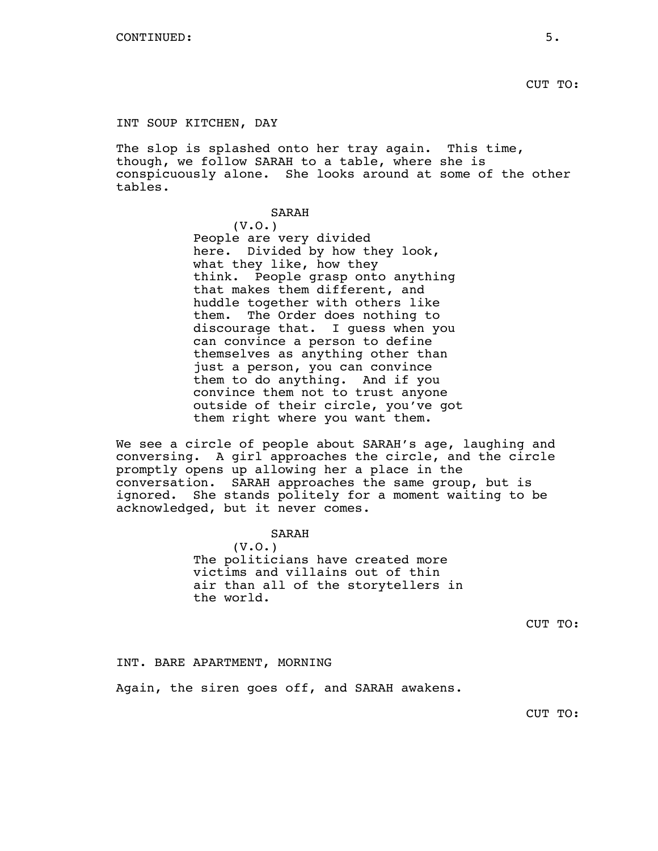# INT SOUP KITCHEN, DAY

The slop is splashed onto her tray again. This time, though, we follow SARAH to a table, where she is conspicuously alone. She looks around at some of the other tables.

# SARAH

 $(V.0.)$ People are very divided here. Divided by how they look, what they like, how they think. People grasp onto anything that makes them different, and huddle together with others like them. The Order does nothing to discourage that. I guess when you can convince a person to define themselves as anything other than just a person, you can convince them to do anything. And if you convince them not to trust anyone outside of their circle, you've got them right where you want them.

We see a circle of people about SARAH's age, laughing and conversing. A girl approaches the circle, and the circle promptly opens up allowing her a place in the conversation. SARAH approaches the same group, but is ignored. She stands politely for a moment waiting to be acknowledged, but it never comes.

# SARAH

 $(V.0.)$ The politicians have created more victims and villains out of thin air than all of the storytellers in the world.

CUT TO:

### INT. BARE APARTMENT, MORNING

Again, the siren goes off, and SARAH awakens.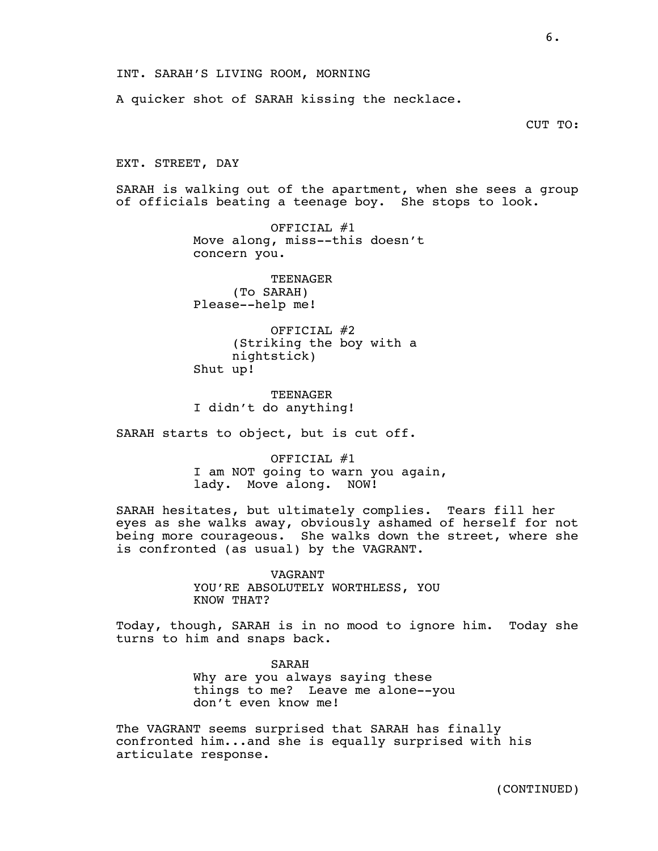A quicker shot of SARAH kissing the necklace.

CUT TO:

EXT. STREET, DAY

SARAH is walking out of the apartment, when she sees a group of officials beating a teenage boy. She stops to look.

> OFFICIAL  $#1$ Move along, miss--this doesn't concern you.

TEENAGER (To SARAH) Please--help me!

OFFICIAL #2 (Striking the boy with a nightstick) Shut up!

TEENAGER I didn't do anything!

SARAH starts to object, but is cut off.

OFFICIAL #1 I am NOT going to warn you again, lady. Move along. NOW!

SARAH hesitates, but ultimately complies. Tears fill her eyes as she walks away, obviously ashamed of herself for not being more courageous. She walks down the street, where she is confronted (as usual) by the VAGRANT.

> VAGRANT YOU'RE ABSOLUTELY WORTHLESS, YOU KNOW THAT?

Today, though, SARAH is in no mood to ignore him. Today she turns to him and snaps back.

> SARAH Why are you always saying these things to me? Leave me alone--you don't even know me!

The VAGRANT seems surprised that SARAH has finally confronted him...and she is equally surprised with his articulate response.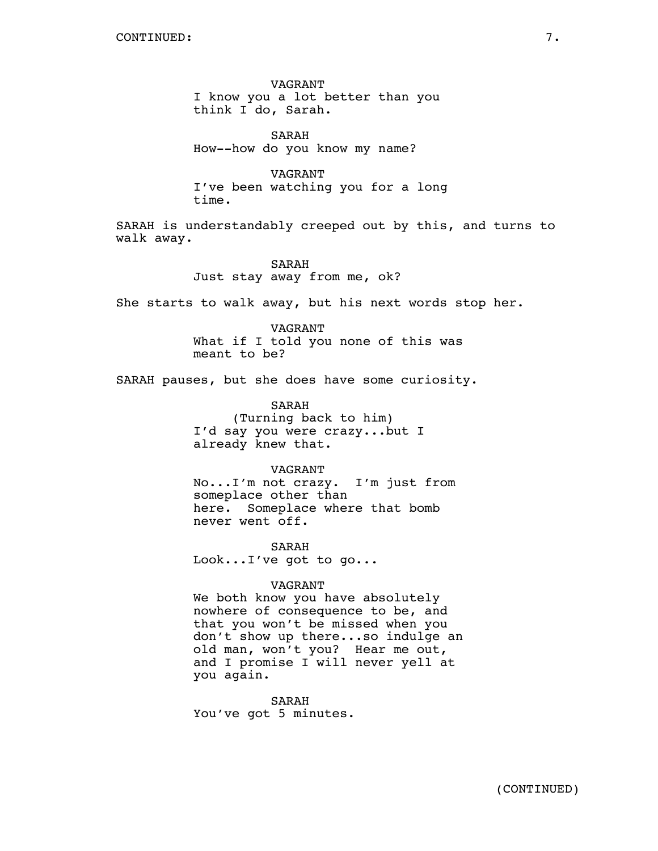VAGRANT I know you a lot better than you think I do, Sarah.

SARAH How--how do you know my name?

VAGRANT I've been watching you for a long time.

SARAH is understandably creeped out by this, and turns to walk away.

> SARAH Just stay away from me, ok?

She starts to walk away, but his next words stop her.

VAGRANT What if I told you none of this was meant to be?

SARAH pauses, but she does have some curiosity.

SARAH (Turning back to him) I'd say you were crazy...but I already knew that.

VAGRANT No...I'm not crazy. I'm just from someplace other than here. Someplace where that bomb never went off.

SARAH Look...I've got to go...

## VAGRANT

We both know you have absolutely nowhere of consequence to be, and that you won't be missed when you don't show up there...so indulge an old man, won't you? Hear me out, and I promise I will never yell at you again.

SARAH You've got 5 minutes.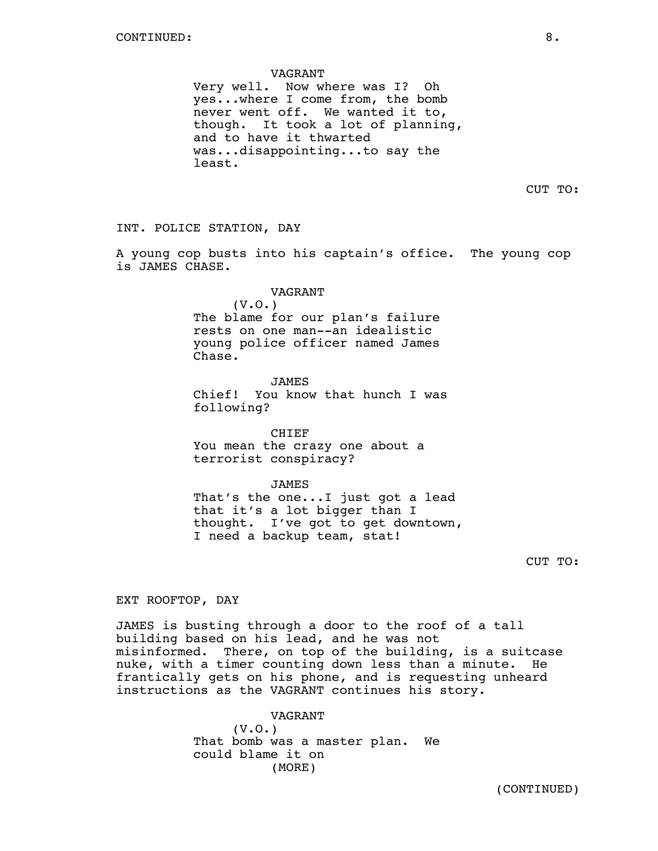#### VAGRANT

Very well. Now where was I? Oh yes...where I come from, the bomb never went off. We wanted it to, though. It took a lot of planning, and to have it thwarted was...disappointing...to say the least.

CUT TO:

INT. POLICE STATION, DAY

A young cop busts into his captain's office. The young cop is JAMES CHASE.

# VAGRANT

 $(V.0.)$ The blame for our plan's failure rests on one man--an idealistic young police officer named James Chase.

JAMES Chief! You know that hunch I was following?

CHIEF You mean the crazy one about a terrorist conspiracy?

JAMES That's the one...I just got a lead that it's a lot bigger than I thought. I've got to get downtown, I need a backup team, stat!

CUT TO:

EXT ROOFTOP, DAY

JAMES is busting through a door to the roof of a tall building based on his lead, and he was not misinformed. There, on top of the building, is a suitcase nuke, with a timer counting down less than a minute. He frantically gets on his phone, and is requesting unheard instructions as the VAGRANT continues his story.

> VAGRANT  $(V.0.)$ That bomb was a master plan. We could blame it on (MORE)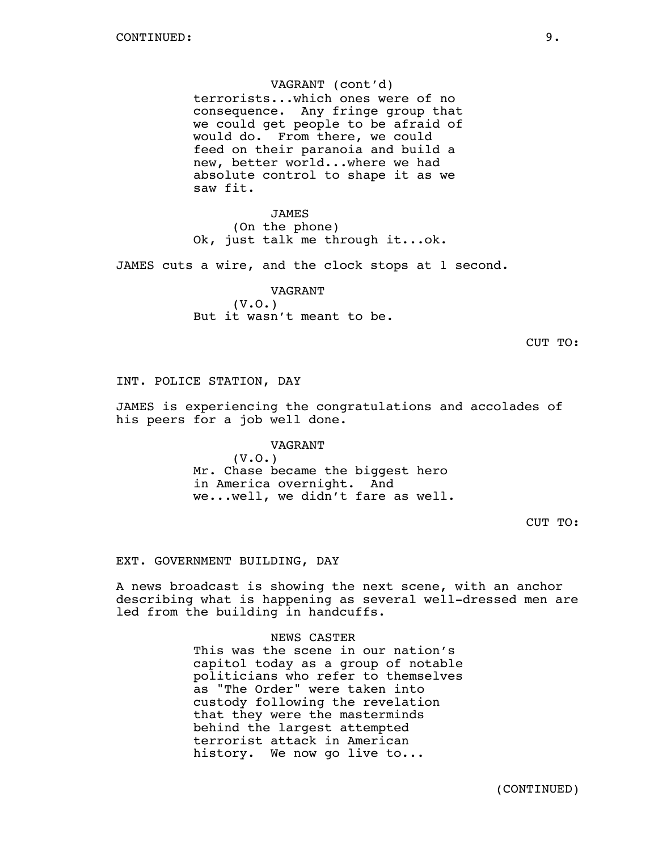## VAGRANT (cont'd)

terrorists...which ones were of no consequence. Any fringe group that we could get people to be afraid of would do. From there, we could feed on their paranoia and build a new, better world...where we had absolute control to shape it as we saw fit.

JAMES (On the phone) Ok, just talk me through it...ok.

JAMES cuts a wire, and the clock stops at 1 second.

VAGRANT  $(V.0.)$ But it wasn't meant to be.

CUT TO:

INT. POLICE STATION, DAY

JAMES is experiencing the congratulations and accolades of his peers for a job well done.

### VAGRANT

(V.O.) Mr. Chase became the biggest hero in America overnight. And we...well, we didn't fare as well.

CUT TO:

## EXT. GOVERNMENT BUILDING, DAY

A news broadcast is showing the next scene, with an anchor describing what is happening as several well-dressed men are led from the building in handcuffs.

#### NEWS CASTER

This was the scene in our nation's capitol today as a group of notable politicians who refer to themselves as "The Order" were taken into custody following the revelation that they were the masterminds behind the largest attempted terrorist attack in American history. We now go live to...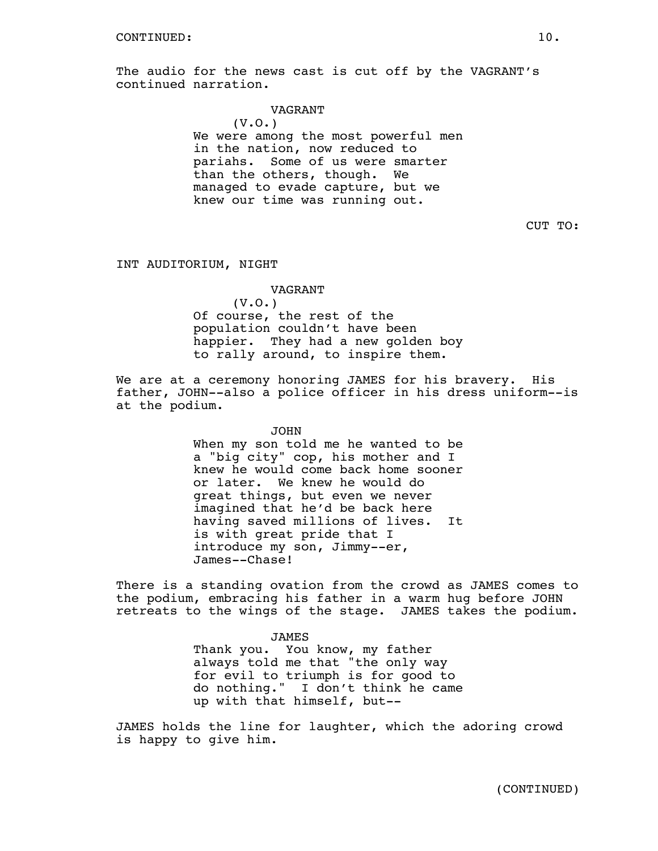The audio for the news cast is cut off by the VAGRANT's continued narration.

### VAGRANT

(V.O.) We were among the most powerful men in the nation, now reduced to pariahs. Some of us were smarter than the others, though. We managed to evade capture, but we knew our time was running out.

CUT TO:

## INT AUDITORIUM, NIGHT

# VAGRANT (V.O.) Of course, the rest of the population couldn't have been happier. They had a new golden boy to rally around, to inspire them.

We are at a ceremony honoring JAMES for his bravery. His father, JOHN--also a police officer in his dress uniform--is at the podium.

> JOHN When my son told me he wanted to be a "big city" cop, his mother and I knew he would come back home sooner or later. We knew he would do great things, but even we never imagined that he'd be back here having saved millions of lives. It is with great pride that I introduce my son, Jimmy--er, James--Chase!

There is a standing ovation from the crowd as JAMES comes to the podium, embracing his father in a warm hug before JOHN retreats to the wings of the stage. JAMES takes the podium.

> JAMES Thank you. You know, my father always told me that "the only way for evil to triumph is for good to do nothing." I don't think he came up with that himself, but--

JAMES holds the line for laughter, which the adoring crowd is happy to give him.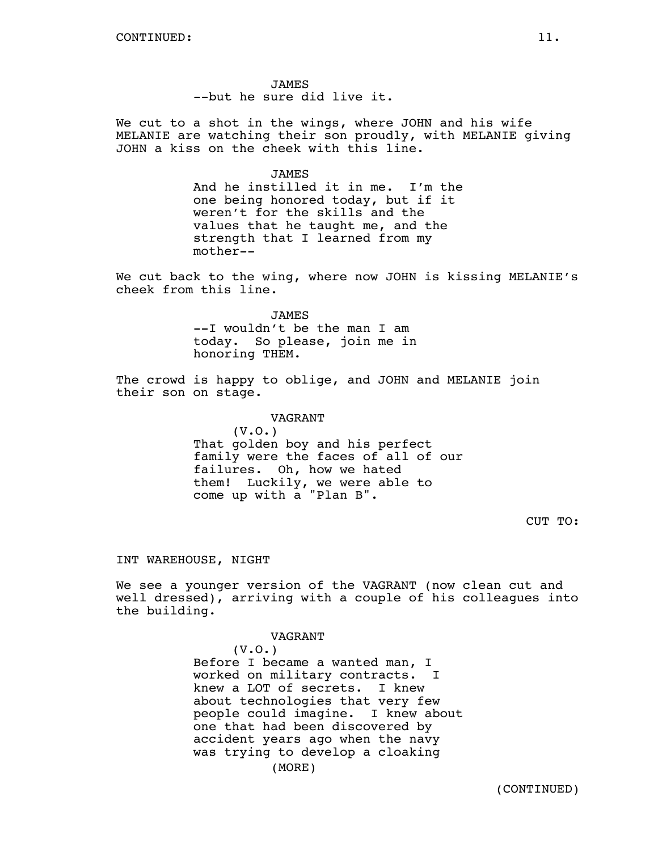JAMES --but he sure did live it.

We cut to a shot in the wings, where JOHN and his wife MELANIE are watching their son proudly, with MELANIE giving JOHN a kiss on the cheek with this line.

## JAMES

And he instilled it in me. I'm the one being honored today, but if it weren't for the skills and the values that he taught me, and the strength that I learned from my mother--

We cut back to the wing, where now JOHN is kissing MELANIE's cheek from this line.

#### JAMES

--I wouldn't be the man I am today. So please, join me in honoring THEM.

The crowd is happy to oblige, and JOHN and MELANIE join their son on stage.

> VAGRANT (V.O.) That golden boy and his perfect family were the faces of all of our failures. Oh, how we hated them! Luckily, we were able to come up with a "Plan B".

> > CUT TO:

### INT WAREHOUSE, NIGHT

We see a younger version of the VAGRANT (now clean cut and well dressed), arriving with a couple of his colleagues into the building.

> VAGRANT (V.O.) Before I became a wanted man, I worked on military contracts. I knew a LOT of secrets. I knew about technologies that very few people could imagine. I knew about one that had been discovered by accident years ago when the navy was trying to develop a cloaking (MORE)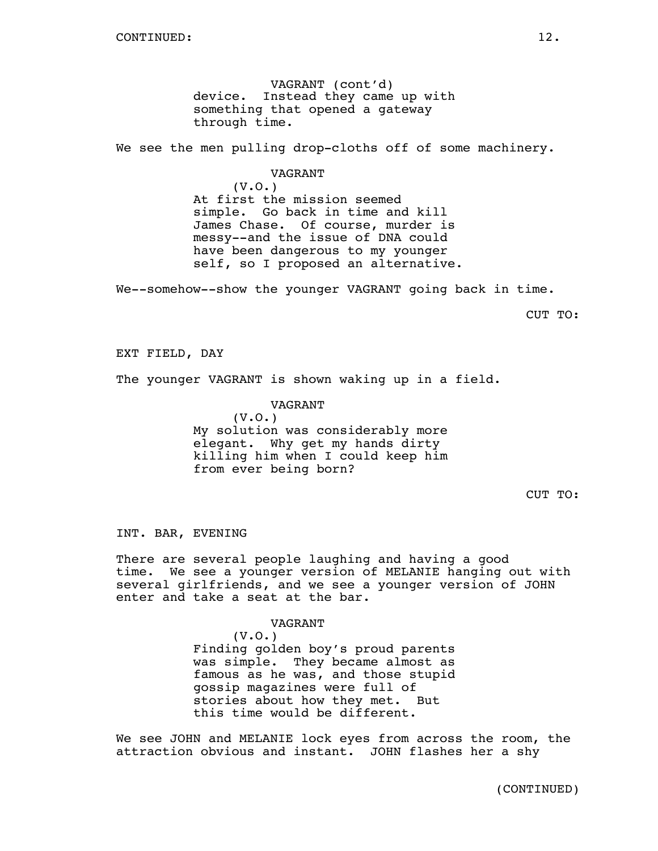VAGRANT (cont'd) device. Instead they came up with something that opened a gateway through time.

We see the men pulling drop-cloths off of some machinery.

#### VAGRANT

(V.O.) At first the mission seemed simple. Go back in time and kill James Chase. Of course, murder is messy--and the issue of DNA could have been dangerous to my younger self, so I proposed an alternative.

We--somehow--show the younger VAGRANT going back in time.

CUT TO:

EXT FIELD, DAY

The younger VAGRANT is shown waking up in a field.

#### VAGRANT

(V.O.) My solution was considerably more elegant. Why get my hands dirty killing him when I could keep him from ever being born?

CUT TO:

INT. BAR, EVENING

There are several people laughing and having a good time. We see a younger version of MELANIE hanging out with several girlfriends, and we see a younger version of JOHN enter and take a seat at the bar.

## VAGRANT

(V.O.) Finding golden boy's proud parents was simple. They became almost as famous as he was, and those stupid gossip magazines were full of stories about how they met. But this time would be different.

We see JOHN and MELANIE lock eyes from across the room, the attraction obvious and instant. JOHN flashes her a shy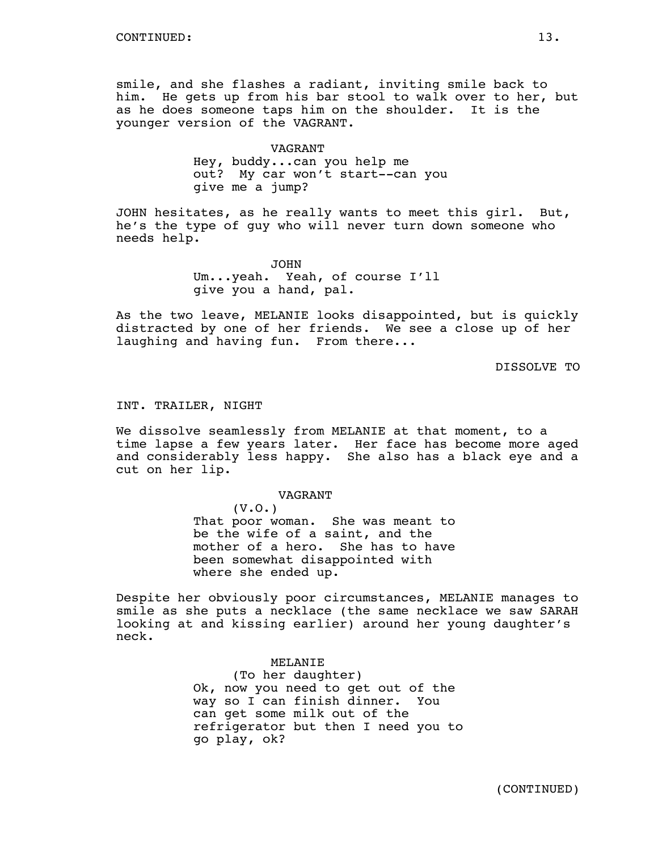smile, and she flashes a radiant, inviting smile back to him. He gets up from his bar stool to walk over to her, but as he does someone taps him on the shoulder. It is the younger version of the VAGRANT.

## VAGRANT

Hey, buddy...can you help me out? My car won't start--can you give me a jump?

JOHN hesitates, as he really wants to meet this girl. But, he's the type of guy who will never turn down someone who needs help.

> JOHN Um...yeah. Yeah, of course I'll give you a hand, pal.

As the two leave, MELANIE looks disappointed, but is quickly distracted by one of her friends. We see a close up of her laughing and having fun. From there...

DISSOLVE TO

### INT. TRAILER, NIGHT

We dissolve seamlessly from MELANIE at that moment, to a time lapse a few years later. Her face has become more aged and considerably less happy. She also has a black eye and a cut on her lip.

VAGRANT

(V.O.) That poor woman. She was meant to be the wife of a saint, and the mother of a hero. She has to have been somewhat disappointed with where she ended up.

Despite her obviously poor circumstances, MELANIE manages to smile as she puts a necklace (the same necklace we saw SARAH looking at and kissing earlier) around her young daughter's neck.

> MELANIE (To her daughter) Ok, now you need to get out of the way so I can finish dinner. You can get some milk out of the refrigerator but then I need you to go play, ok?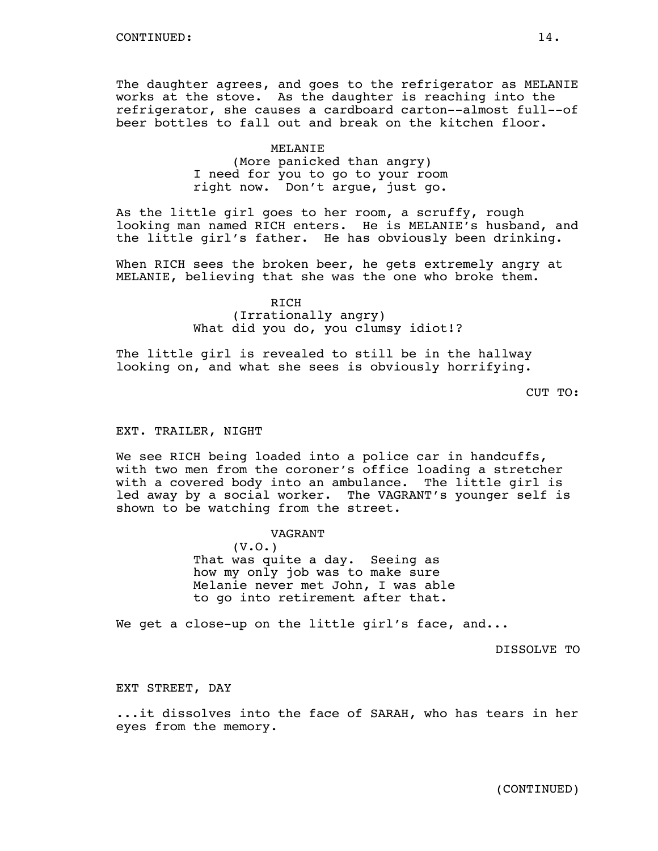The daughter agrees, and goes to the refrigerator as MELANIE works at the stove. As the daughter is reaching into the refrigerator, she causes a cardboard carton--almost full--of beer bottles to fall out and break on the kitchen floor.

# MELANIE (More panicked than angry) I need for you to go to your room right now. Don't argue, just go.

As the little girl goes to her room, a scruffy, rough looking man named RICH enters. He is MELANIE's husband, and the little girl's father. He has obviously been drinking.

When RICH sees the broken beer, he gets extremely angry at MELANIE, believing that she was the one who broke them.

# RICH (Irrationally angry) What did you do, you clumsy idiot!?

The little girl is revealed to still be in the hallway looking on, and what she sees is obviously horrifying.

CUT TO:

## EXT. TRAILER, NIGHT

We see RICH being loaded into a police car in handcuffs, with two men from the coroner's office loading a stretcher with a covered body into an ambulance. The little girl is led away by a social worker. The VAGRANT's younger self is shown to be watching from the street.

## VAGRANT

(V.O.) That was quite a day. Seeing as how my only job was to make sure Melanie never met John, I was able to go into retirement after that.

We get a close-up on the little girl's face, and...

DISSOLVE TO

EXT STREET, DAY

...it dissolves into the face of SARAH, who has tears in her eyes from the memory.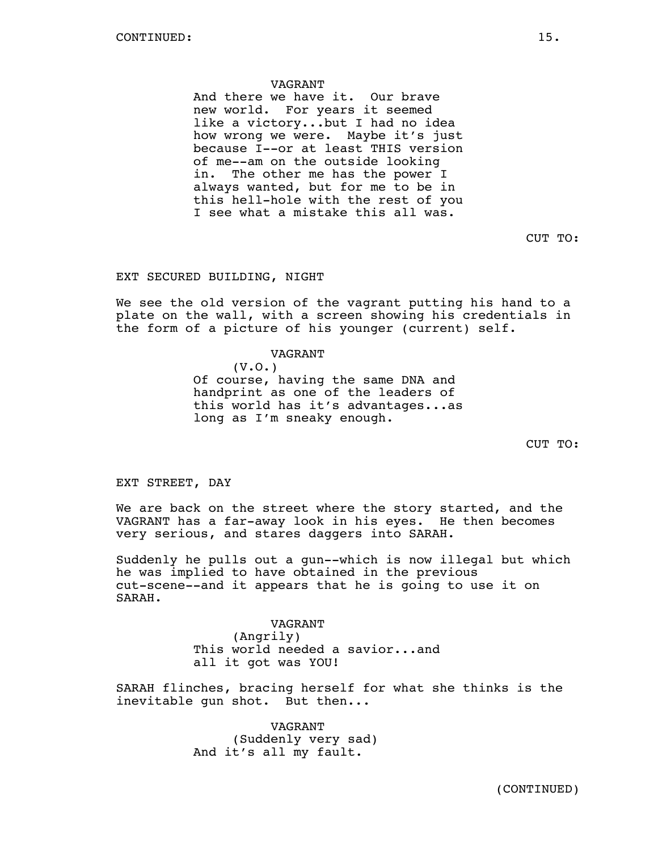### VAGRANT

And there we have it. Our brave new world. For years it seemed like a victory...but I had no idea how wrong we were. Maybe it's just because I--or at least THIS version of me--am on the outside looking in. The other me has the power I always wanted, but for me to be in this hell-hole with the rest of you I see what a mistake this all was.

CUT TO:

## EXT SECURED BUILDING, NIGHT

We see the old version of the vagrant putting his hand to a plate on the wall, with a screen showing his credentials in the form of a picture of his younger (current) self.

#### VAGRANT

(V.O.) Of course, having the same DNA and handprint as one of the leaders of this world has it's advantages...as long as I'm sneaky enough.

CUT TO:

EXT STREET, DAY

We are back on the street where the story started, and the VAGRANT has a far-away look in his eyes. He then becomes very serious, and stares daggers into SARAH.

Suddenly he pulls out a gun--which is now illegal but which he was implied to have obtained in the previous cut-scene--and it appears that he is going to use it on SARAH.

> VAGRANT (Angrily) This world needed a savior...and

SARAH flinches, bracing herself for what she thinks is the inevitable gun shot. But then...

> VAGRANT (Suddenly very sad) And it's all my fault.

all it got was YOU!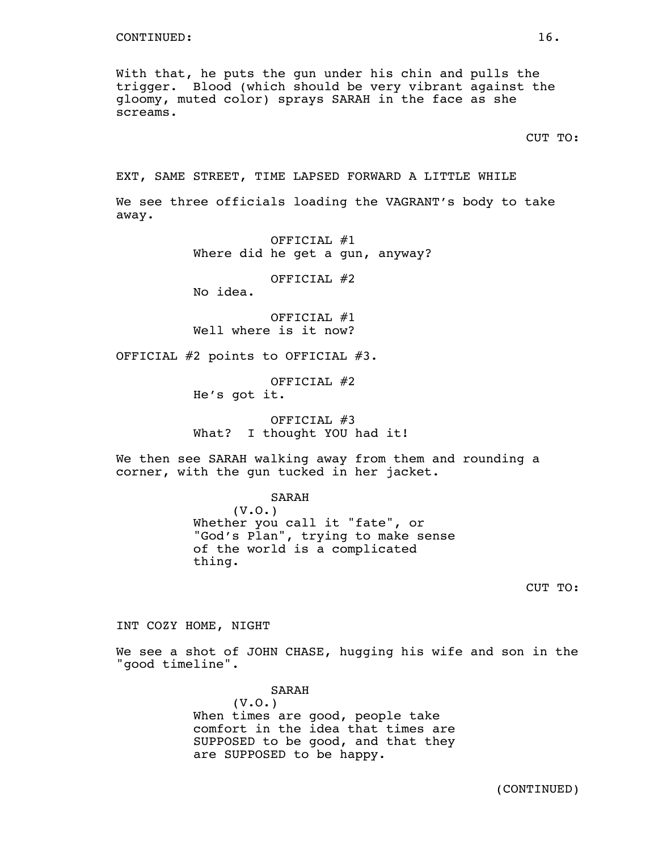With that, he puts the gun under his chin and pulls the trigger. Blood (which should be very vibrant against the gloomy, muted color) sprays SARAH in the face as she screams.

CUT TO:

EXT, SAME STREET, TIME LAPSED FORWARD A LITTLE WHILE

We see three officials loading the VAGRANT's body to take away.

> OFFICIAL #1 Where did he get a gun, anyway?

> > OFFICIAL #2

No idea.

OFFICIAL #1 Well where is it now?

OFFICIAL #2 points to OFFICIAL #3.

OFFICIAL #2 He's got it.

OFFICIAL #3 What? I thought YOU had it!

We then see SARAH walking away from them and rounding a corner, with the gun tucked in her jacket.

SARAH

(V.O.) Whether you call it "fate", or "God's Plan", trying to make sense of the world is a complicated thing.

CUT TO:

INT COZY HOME, NIGHT

We see a shot of JOHN CHASE, hugging his wife and son in the "good timeline".

> SARAH  $(V.0.)$ When times are good, people take comfort in the idea that times are SUPPOSED to be good, and that they are SUPPOSED to be happy.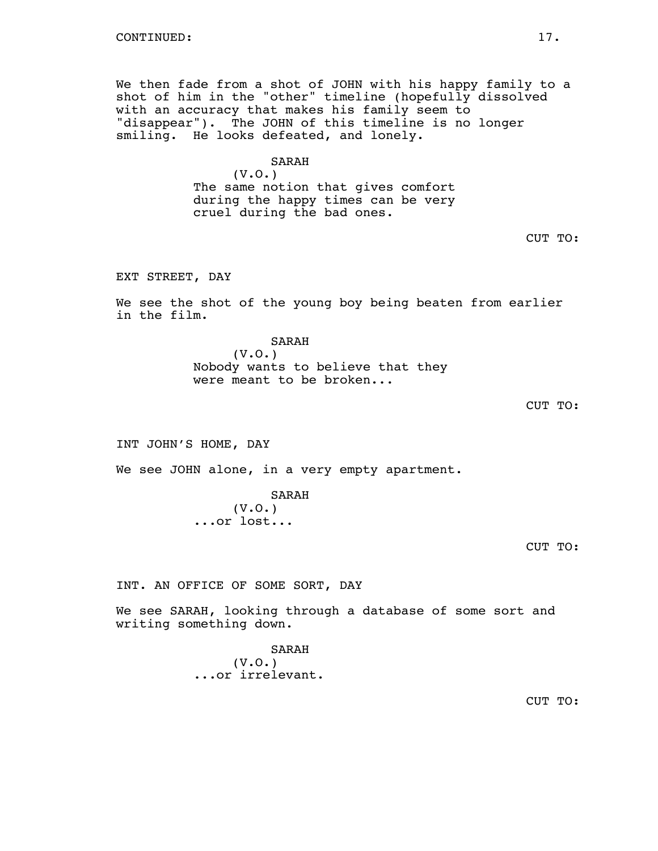We then fade from a shot of JOHN with his happy family to a shot of him in the "other" timeline (hopefully dissolved with an accuracy that makes his family seem to "disappear"). The JOHN of this timeline is no longer smiling. He looks defeated, and lonely.

# SARAH

(V.O.) The same notion that gives comfort during the happy times can be very cruel during the bad ones.

CUT TO:

EXT STREET, DAY

We see the shot of the young boy being beaten from earlier in the film.

> SARAH (V.O.) Nobody wants to believe that they were meant to be broken...

INT JOHN'S HOME, DAY

We see JOHN alone, in a very empty apartment.

SARAH (V.O.) ...or lost...

INT. AN OFFICE OF SOME SORT, DAY

We see SARAH, looking through a database of some sort and writing something down.

> SARAH (V.O.) ...or irrelevant.